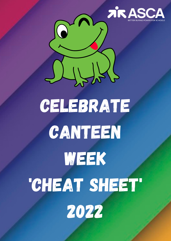

## celebrate CANTEEN week

 $\frac{1}{2}$ 

# 'Cheat sheet'

2022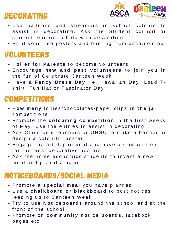#### DECORATING



- Use balloons and streamers in school colours to assist in decorating. Ask the Student council or student leaders to help with decorating
- Print your free posters and bunting from asca.com.au!

#### VOLUNTEERS

- **H o l l e r f o r P a r e n t s** t o b e c o m e v o l u n t e e r s
- $\bullet$  Encourage new and past volunteers to join you in the fun of Celebrate Canteen Week
- Have a Fancy Dress Day, ie, Hawaiian Day, Loud Tshirt, Fun Hat or Fascinator Day

#### **COMPETITIONS**

- **H o w m a n y** l o l l i e s / c h o c o l a t e s / p a p e r c l i p s **i n t h e j a r** c o m p e titions
- $\bullet$  Promote the **colouring competition** in the first weeks of May. Use the entries to assist in decorating
- Ask Classroom teachers or OHSC to make a banner or design a colourful poster
- Engage the art department and have a Competition for the most decorative posters
- Ask the home economics students to invent a new meal and give it a name

#### NOTICEBOARDS/SOCIAL MEDIA

- P r o m o t e a **s p e c i a l m e a l** y o u h a v e p l a n n e d
- Use a chalkboard or blackboard to post notices leading up to Canteen Week
- $\bullet$  Try to use Noticeboards around the school and at the front of the school
- P r o m o t e o n **c o m m u n i t y n o t i c e b o a r d s** , f a c e b o o k pages etc